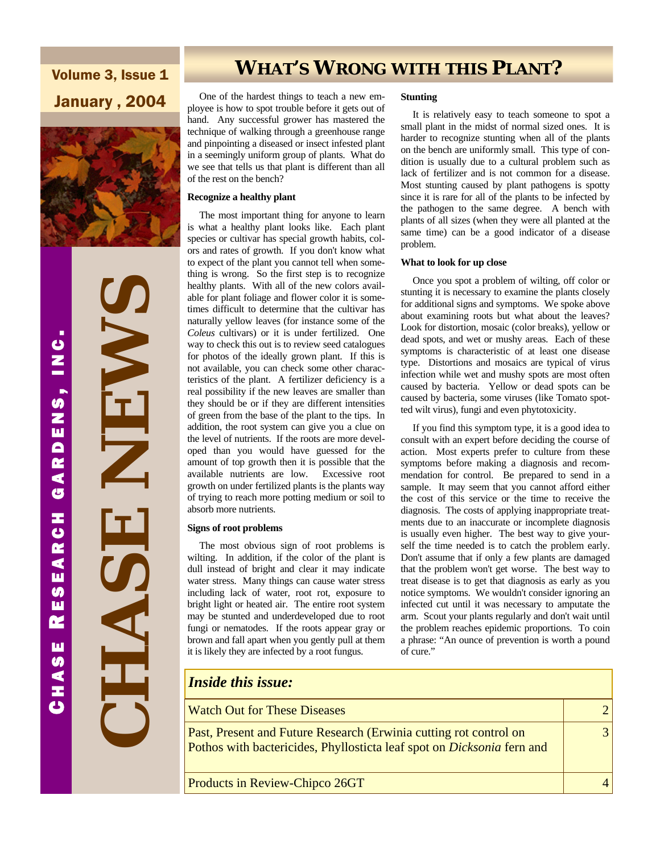Volume 3, Issue 1 January , 2004



 **CHASE NEWS**  NEW T

**WHAT'S WRONG WITH THIS PLANT?** 

 One of the hardest things to teach a new employee is how to spot trouble before it gets out of hand. Any successful grower has mastered the technique of walking through a greenhouse range and pinpointing a diseased or insect infested plant in a seemingly uniform group of plants. What do we see that tells us that plant is different than all of the rest on the bench?

### **Recognize a healthy plant**

 The most important thing for anyone to learn is what a healthy plant looks like. Each plant species or cultivar has special growth habits, colors and rates of growth. If you don't know what to expect of the plant you cannot tell when something is wrong. So the first step is to recognize healthy plants. With all of the new colors available for plant foliage and flower color it is sometimes difficult to determine that the cultivar has naturally yellow leaves (for instance some of the *Coleus* cultivars) or it is under fertilized. One way to check this out is to review seed catalogues for photos of the ideally grown plant. If this is not available, you can check some other characteristics of the plant. A fertilizer deficiency is a real possibility if the new leaves are smaller than they should be or if they are different intensities of green from the base of the plant to the tips. In addition, the root system can give you a clue on the level of nutrients. If the roots are more developed than you would have guessed for the amount of top growth then it is possible that the available nutrients are low. Excessive root growth on under fertilized plants is the plants way of trying to reach more potting medium or soil to absorb more nutrients.

### **Signs of root problems**

 The most obvious sign of root problems is wilting. In addition, if the color of the plant is dull instead of bright and clear it may indicate water stress. Many things can cause water stress including lack of water, root rot, exposure to bright light or heated air. The entire root system may be stunted and underdeveloped due to root fungi or nematodes. If the roots appear gray or brown and fall apart when you gently pull at them it is likely they are infected by a root fungus.

### **Stunting**

 It is relatively easy to teach someone to spot a small plant in the midst of normal sized ones. It is harder to recognize stunting when all of the plants on the bench are uniformly small. This type of condition is usually due to a cultural problem such as lack of fertilizer and is not common for a disease. Most stunting caused by plant pathogens is spotty since it is rare for all of the plants to be infected by the pathogen to the same degree. A bench with plants of all sizes (when they were all planted at the same time) can be a good indicator of a disease problem.

#### **What to look for up close**

 Once you spot a problem of wilting, off color or stunting it is necessary to examine the plants closely for additional signs and symptoms. We spoke above about examining roots but what about the leaves? Look for distortion, mosaic (color breaks), yellow or dead spots, and wet or mushy areas. Each of these symptoms is characteristic of at least one disease type. Distortions and mosaics are typical of virus infection while wet and mushy spots are most often caused by bacteria. Yellow or dead spots can be caused by bacteria, some viruses (like Tomato spotted wilt virus), fungi and even phytotoxicity.

 If you find this symptom type, it is a good idea to consult with an expert before deciding the course of action. Most experts prefer to culture from these symptoms before making a diagnosis and recommendation for control. Be prepared to send in a sample. It may seem that you cannot afford either the cost of this service or the time to receive the diagnosis. The costs of applying inappropriate treatments due to an inaccurate or incomplete diagnosis is usually even higher. The best way to give yourself the time needed is to catch the problem early. Don't assume that if only a few plants are damaged that the problem won't get worse. The best way to treat disease is to get that diagnosis as early as you notice symptoms. We wouldn't consider ignoring an infected cut until it was necessary to amputate the arm. Scout your plants regularly and don't wait until the problem reaches epidemic proportions. To coin a phrase: "An ounce of prevention is worth a pound of cure."

| <b>Inside this issue:</b>                                                                                                                          |                |  |
|----------------------------------------------------------------------------------------------------------------------------------------------------|----------------|--|
| <b>Watch Out for These Diseases</b>                                                                                                                | 21             |  |
| Past, Present and Future Research (Erwinia cutting rot control on<br>Pothos with bactericides, Phyllosticta leaf spot on <i>Dicksonia</i> fern and | $\overline{3}$ |  |
| Products in Review-Chipco 26GT                                                                                                                     |                |  |

 HASE R ESEARCH GARDENS , INC . じ<br>N<br>ニ GARDENS, RESEARCH **CHASE**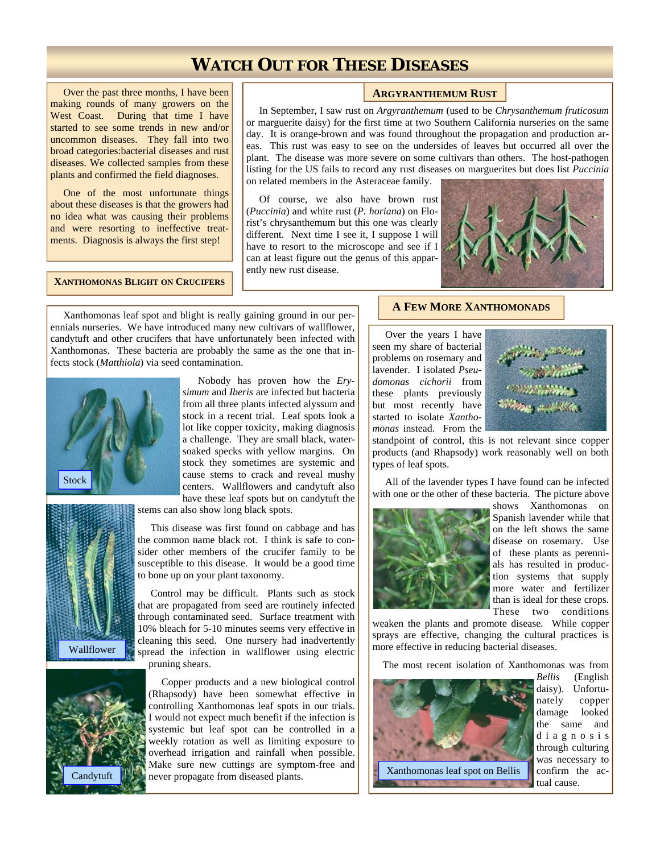# **WATCH OUT FOR THESE DISEASES**

 Over the past three months, I have been making rounds of many growers on the West Coast. During that time I have started to see some trends in new and/or uncommon diseases. They fall into two broad categories:bacterial diseases and rust diseases. We collected samples from these plants and confirmed the field diagnoses.

 One of the most unfortunate things about these diseases is that the growers had no idea what was causing their problems and were resorting to ineffective treatments. Diagnosis is always the first step!

**XANTHOMONAS BLIGHT ON CRUCIFERS** 

### **ARGYRANTHEMUM RUST**

 In September, I saw rust on *Argyranthemum* (used to be *Chrysanthemum fruticosum*  or marguerite daisy) for the first time at two Southern California nurseries on the same day. It is orange-brown and was found throughout the propagation and production areas. This rust was easy to see on the undersides of leaves but occurred all over the plant. The disease was more severe on some cultivars than others. The host-pathogen listing for the US fails to record any rust diseases on marguerites but does list *Puccinia*  on related members in the Asteraceae family.

 Of course, we also have brown rust (*Puccinia*) and white rust (*P. horiana*) on Florist's chrysanthemum but this one was clearly different. Next time I see it, I suppose I will have to resort to the microscope and see if I can at least figure out the genus of this apparently new rust disease.



 Xanthomonas leaf spot and blight is really gaining ground in our perennials nurseries. We have introduced many new cultivars of wallflower, candytuft and other crucifers that have unfortunately been infected with Xanthomonas. These bacteria are probably the same as the one that infects stock (*Matthiola*) via seed contamination.



 Nobody has proven how the *Erysimum* and *Iberis* are infected but bacteria from all three plants infected alyssum and stock in a recent trial. Leaf spots look a lot like copper toxicity, making diagnosis a challenge. They are small black, watersoaked specks with yellow margins. On stock they sometimes are systemic and cause stems to crack and reveal mushy centers. Wallflowers and candytuft also have these leaf spots but on candytuft the

stems can also show long black spots.



 This disease was first found on cabbage and has the common name black rot. I think is safe to consider other members of the crucifer family to be susceptible to this disease. It would be a good time to bone up on your plant taxonomy.

 Control may be difficult. Plants such as stock that are propagated from seed are routinely infected through contaminated seed. Surface treatment with 10% bleach for 5-10 minutes seems very effective in cleaning this seed. One nursery had inadvertently spread the infection in wallflower using electric pruning shears.



 Copper products and a new biological control (Rhapsody) have been somewhat effective in controlling Xanthomonas leaf spots in our trials. I would not expect much benefit if the infection is systemic but leaf spot can be controlled in a weekly rotation as well as limiting exposure to overhead irrigation and rainfall when possible. Make sure new cuttings are symptom-free and Candytuft Never propagate from diseased plants.

### **A FEW MORE XANTHOMONADS**

 Over the years I have seen my share of bacterial problems on rosemary and lavender. I isolated *Pseudomonas cichorii* from these plants previously but most recently have started to isolate *Xanthomonas* instead. From the



standpoint of control, this is not relevant since copper products (and Rhapsody) work reasonably well on both types of leaf spots.

 All of the lavender types I have found can be infected with one or the other of these bacteria. The picture above



shows Xanthomonas on Spanish lavender while that on the left shows the same disease on rosemary. Use of these plants as perennials has resulted in production systems that supply more water and fertilizer than is ideal for these crops. These two conditions

weaken the plants and promote disease. While copper sprays are effective, changing the cultural practices is more effective in reducing bacterial diseases.

The most recent isolation of Xanthomonas was from



*Bellis* (English daisy). Unfortunately copper damage looked the same and d i a g n o s i s through culturing was necessary to confirm the actual cause.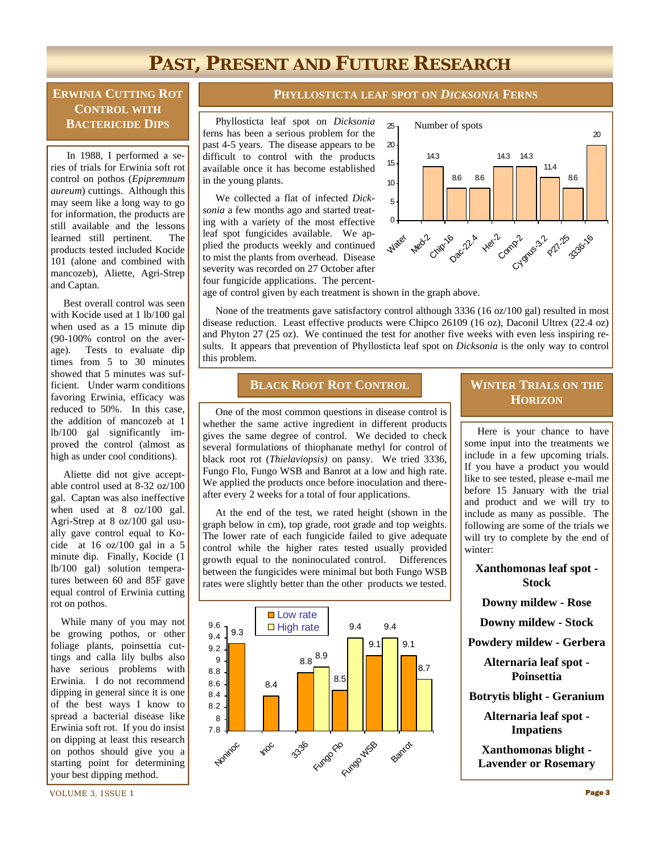# **PAST, PRESENT AND FUTURE RESEARCH**

### **ERWINIA CUTTING ROT CONTROL WITH BACTERICIDE DIPS**

 In 1988, I performed a series of trials for Erwinia soft rot control on pothos (*Epipremnum aureum*) cuttings. Although this may seem like a long way to go for information, the products are still available and the lessons learned still pertinent. The products tested included Kocide 101 (alone and combined with mancozeb), Aliette, Agri-Strep and Captan.

 Best overall control was seen with Kocide used at 1 lb/100 gal when used as a 15 minute dip (90-100% control on the average). Tests to evaluate dip times from 5 to 30 minutes showed that 5 minutes was sufficient. Under warm conditions favoring Erwinia, efficacy was reduced to 50%. In this case, the addition of mancozeb at 1 lb/100 gal significantly improved the control (almost as high as under cool conditions).

 Aliette did not give acceptable control used at 8-32 oz/100 gal. Captan was also ineffective when used at 8 oz/100 gal. Agri-Strep at 8 oz/100 gal usually gave control equal to Kocide at 16 oz/100 gal in a 5 minute dip. Finally, Kocide (1 lb/100 gal) solution temperatures between 60 and 85F gave equal control of Erwinia cutting rot on pothos.

 While many of you may not be growing pothos, or other foliage plants, poinsettia cuttings and calla lily bulbs also have serious problems with Erwinia. I do not recommend dipping in general since it is one of the best ways I know to spread a bacterial disease like Erwinia soft rot. If you do insist on dipping at least this research on pothos should give you a starting point for determining your best dipping method.

### **PHYLLOSTICTA LEAF SPOT ON** *DICKSONIA* **FERNS**

 Phyllosticta leaf spot on *Dicksonia* ferns has been a serious problem for the past 4-5 years. The disease appears to be difficult to control with the products available once it has become established in the young plants.

 We collected a flat of infected *Dicksonia* a few months ago and started treating with a variety of the most effective leaf spot fungicides available. We applied the products weekly and continued to mist the plants from overhead. Disease severity was recorded on 27 October after four fungicide applications. The percent-



age of control given by each treatment is shown in the graph above.

 None of the treatments gave satisfactory control although 3336 (16 oz/100 gal) resulted in most disease reduction. Least effective products were Chipco 26109 (16 oz), Daconil Ultrex (22.4 oz) and Phyton 27 (25 oz). We continued the test for another five weeks with even less inspiring results. It appears that prevention of Phyllosticta leaf spot on *Dicksonia* is the only way to control this problem.

### **BLACK ROOT ROT CONTROL WINTER TRIALS ON THE**

 One of the most common questions in disease control is whether the same active ingredient in different products gives the same degree of control. We decided to check several formulations of thiophanate methyl for control of black root rot (*Thielaviopsis)* on pansy. We tried 3336, Fungo Flo, Fungo WSB and Banrot at a low and high rate. We applied the products once before inoculation and thereafter every 2 weeks for a total of four applications.

 At the end of the test, we rated height (shown in the graph below in cm), top grade, root grade and top weights. The lower rate of each fungicide failed to give adequate control while the higher rates tested usually provided growth equal to the noninoculated control. Differences between the fungicides were minimal but both Fungo WSB rates were slightly better than the other products we tested.



# **HORIZON**

 Here is your chance to have some input into the treatments we include in a few upcoming trials. If you have a product you would like to see tested, please e-mail me before 15 January with the trial and product and we will try to include as many as possible. The following are some of the trials we will try to complete by the end of winter:

**Xanthomonas leaf spot - Stock** 

**Downy mildew - Rose** 

**Downy mildew - Stock** 

**Powdery mildew - Gerbera** 

**Alternaria leaf spot - Poinsettia** 

**Botrytis blight - Geranium** 

**Alternaria leaf spot - Impatiens** 

**Xanthomonas blight - Lavender or Rosemary**